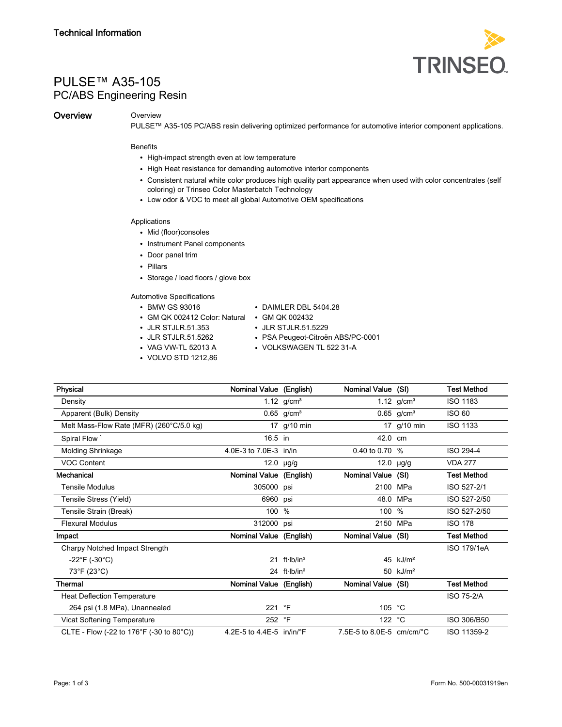

# PULSE™ A35-105 PC/ABS Engineering Resin

## **Overview Overview**

PULSE™ A35-105 PC/ABS resin delivering optimized performance for automotive interior component applications.

#### Benefits

- High-impact strength even at low temperature
- High Heat resistance for demanding automotive interior components
- Consistent natural white color produces high quality part appearance when used with color concentrates (self coloring) or Trinseo Color Masterbatch Technology
- Low odor & VOC to meet all global Automotive OEM specifications

## Applications

- Mid (floor)consoles
- Instrument Panel components
- Door panel trim
- Pillars
- Storage / load floors / glove box

## Automotive Specifications

- BMW GS 93016 DAIMLER DBL 5404.28
	-
- GM QK 002412 Color: Natural GM QK 002432 • JLR STJLR.51.353
	-
- 
- 
- JLR STJLR.51.5262 PSA Peugeot-Citroën ABS/PC-0001<br>• VAG VW-TL 52013 A VOLKSWAGEN TL 522 31-A • VOLKSWAGEN TL 522 31-A
- VOLVO STD 1212,86
- 

| Physical                                 | Nominal Value (English)     |                            | Nominal Value (SI)                    |                          | <b>Test Method</b> |
|------------------------------------------|-----------------------------|----------------------------|---------------------------------------|--------------------------|--------------------|
| Density                                  |                             | 1.12 $g/cm^{3}$            |                                       | 1.12 $g/cm^{3}$          | <b>ISO 1183</b>    |
| Apparent (Bulk) Density                  |                             | $0.65$ g/cm <sup>3</sup>   |                                       | $0.65$ g/cm <sup>3</sup> | <b>ISO 60</b>      |
| Melt Mass-Flow Rate (MFR) (260°C/5.0 kg) |                             | 17 g/10 min                |                                       | 17 g/10 min              | <b>ISO 1133</b>    |
| Spiral Flow <sup>1</sup>                 | 16.5 in                     |                            | 42.0 cm                               |                          |                    |
| <b>Molding Shrinkage</b>                 | 4.0E-3 to 7.0E-3 in/in      |                            | 0.40 to 0.70 %                        |                          | ISO 294-4          |
| <b>VOC Content</b>                       |                             | 12.0 $\mu$ g/g             |                                       | $12.0$ µg/g              | <b>VDA 277</b>     |
| Mechanical                               | Nominal Value (English)     |                            | Nominal Value (SI)                    |                          | <b>Test Method</b> |
| Tensile Modulus                          | 305000 psi                  |                            | 2100 MPa                              |                          | ISO 527-2/1        |
| Tensile Stress (Yield)                   | 6960 psi                    |                            |                                       | 48.0 MPa                 | ISO 527-2/50       |
| Tensile Strain (Break)                   | 100 %                       |                            | 100 %                                 |                          | ISO 527-2/50       |
| <b>Flexural Modulus</b>                  | 312000 psi                  |                            |                                       | 2150 MPa                 | <b>ISO 178</b>     |
| Impact                                   | Nominal Value (English)     |                            | Nominal Value (SI)                    |                          | <b>Test Method</b> |
| Charpy Notched Impact Strength           |                             |                            |                                       |                          | ISO 179/1eA        |
| $-22^{\circ}F$ (-30 $^{\circ}C$ )        |                             | $21$ ft lb/in <sup>2</sup> |                                       | 45 $kJ/m2$               |                    |
| 73°F (23°C)                              |                             | 24 $ft·lb/in2$             |                                       | 50 $kJ/m2$               |                    |
| Thermal                                  | Nominal Value (English)     |                            | Nominal Value (SI)                    |                          | <b>Test Method</b> |
| <b>Heat Deflection Temperature</b>       |                             |                            |                                       |                          | <b>ISO 75-2/A</b>  |
| 264 psi (1.8 MPa), Unannealed            | 221 °F                      |                            | 105                                   | °С                       |                    |
| Vicat Softening Temperature              | 252 °F                      |                            | 122 °C                                |                          | ISO 306/B50        |
| CLTE - Flow (-22 to 176°F (-30 to 80°C)) | 4.2E-5 to 4.4E-5 $in/in/PF$ |                            | 7.5E-5 to 8.0E-5 $cm/cm$ $^{\circ}$ C |                          | ISO 11359-2        |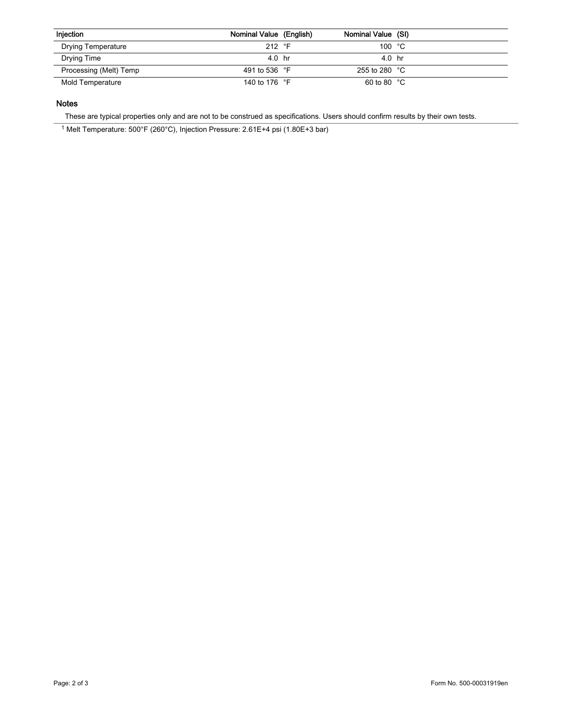| Injection                 | Nominal Value (English) | Nominal Value (SI)     |  |
|---------------------------|-------------------------|------------------------|--|
| <b>Drying Temperature</b> | 212 $\degree$ F         | 100 $°C$               |  |
| Drying Time               | 4.0 hr                  | 40 hr                  |  |
| Processing (Melt) Temp    | 491 to 536 °F           | 255 to 280 $\degree$ C |  |
| Mold Temperature          | 140 to 176 °F           | 60 to 80 $\degree$ C   |  |

# Notes

These are typical properties only and are not to be construed as specifications. Users should confirm results by their own tests.

<sup>1</sup> Melt Temperature: 500°F (260°C), Injection Pressure: 2.61E+4 psi (1.80E+3 bar)